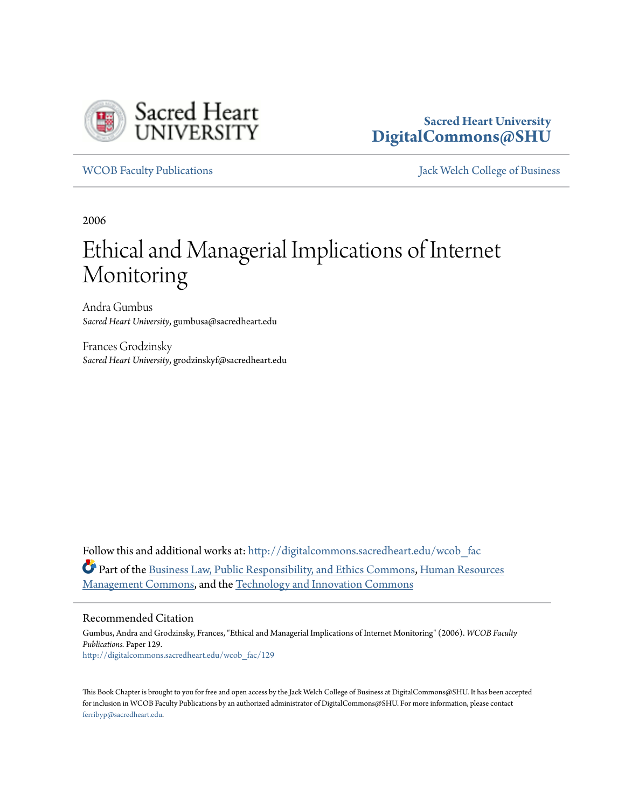

# **Sacred Heart University [DigitalCommons@SHU](http://digitalcommons.sacredheart.edu?utm_source=digitalcommons.sacredheart.edu%2Fwcob_fac%2F129&utm_medium=PDF&utm_campaign=PDFCoverPages)**

[WCOB Faculty Publications](http://digitalcommons.sacredheart.edu/wcob_fac?utm_source=digitalcommons.sacredheart.edu%2Fwcob_fac%2F129&utm_medium=PDF&utm_campaign=PDFCoverPages) [Jack Welch College of Business](http://digitalcommons.sacredheart.edu/wcob?utm_source=digitalcommons.sacredheart.edu%2Fwcob_fac%2F129&utm_medium=PDF&utm_campaign=PDFCoverPages)

2006

# Ethical and Managerial Implications of Internet Monitoring

Andra Gumbus *Sacred Heart University*, gumbusa@sacredheart.edu

Frances Grodzinsky *Sacred Heart University*, grodzinskyf@sacredheart.edu

Follow this and additional works at: [http://digitalcommons.sacredheart.edu/wcob\\_fac](http://digitalcommons.sacredheart.edu/wcob_fac?utm_source=digitalcommons.sacredheart.edu%2Fwcob_fac%2F129&utm_medium=PDF&utm_campaign=PDFCoverPages) Part of the [Business Law, Public Responsibility, and Ethics Commons,](http://network.bepress.com/hgg/discipline/628?utm_source=digitalcommons.sacredheart.edu%2Fwcob_fac%2F129&utm_medium=PDF&utm_campaign=PDFCoverPages) [Human Resources](http://network.bepress.com/hgg/discipline/633?utm_source=digitalcommons.sacredheart.edu%2Fwcob_fac%2F129&utm_medium=PDF&utm_campaign=PDFCoverPages) [Management Commons](http://network.bepress.com/hgg/discipline/633?utm_source=digitalcommons.sacredheart.edu%2Fwcob_fac%2F129&utm_medium=PDF&utm_campaign=PDFCoverPages), and the [Technology and Innovation Commons](http://network.bepress.com/hgg/discipline/644?utm_source=digitalcommons.sacredheart.edu%2Fwcob_fac%2F129&utm_medium=PDF&utm_campaign=PDFCoverPages)

# Recommended Citation

Gumbus, Andra and Grodzinsky, Frances, "Ethical and Managerial Implications of Internet Monitoring" (2006). *WCOB Faculty Publications.* Paper 129. [http://digitalcommons.sacredheart.edu/wcob\\_fac/129](http://digitalcommons.sacredheart.edu/wcob_fac/129?utm_source=digitalcommons.sacredheart.edu%2Fwcob_fac%2F129&utm_medium=PDF&utm_campaign=PDFCoverPages)

This Book Chapter is brought to you for free and open access by the Jack Welch College of Business at DigitalCommons@SHU. It has been accepted for inclusion in WCOB Faculty Publications by an authorized administrator of DigitalCommons@SHU. For more information, please contact [ferribyp@sacredheart.edu](mailto:ferribyp@sacredheart.edu).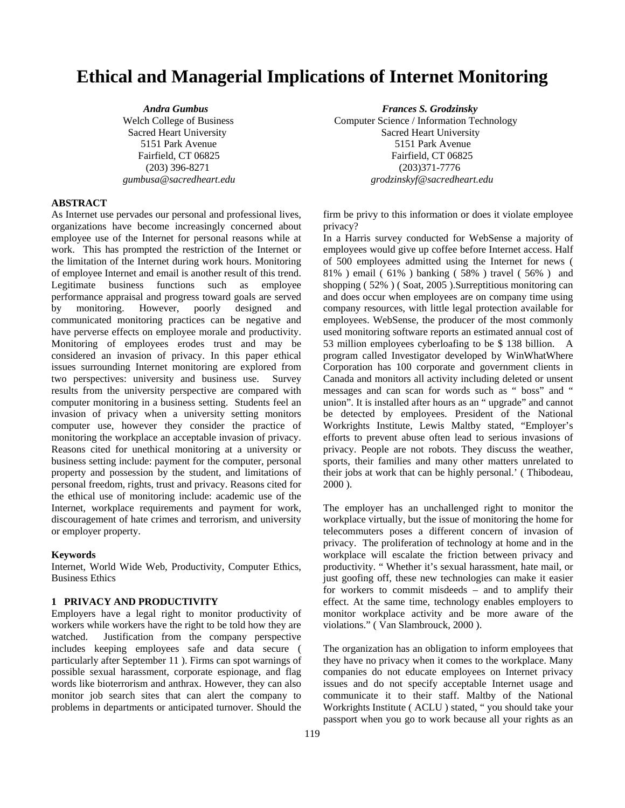# **Ethical and Managerial Implications of Internet Monitoring**

# **ABSTRACT**

As Internet use pervades our personal and professional lives, organizations have become increasingly concerned about employee use of the Internet for personal reasons while at work. This has prompted the restriction of the Internet or the limitation of the Internet during work hours. Monitoring of employee Internet and email is another result of this trend. Legitimate business functions such as employee performance appraisal and progress toward goals are served by monitoring. However, poorly designed and communicated monitoring practices can be negative and have perverse effects on employee morale and productivity. Monitoring of employees erodes trust and may be considered an invasion of privacy. In this paper ethical issues surrounding Internet monitoring are explored from two perspectives: university and business use. Survey results from the university perspective are compared with computer monitoring in a business setting. Students feel an invasion of privacy when a university setting monitors computer use, however they consider the practice of monitoring the workplace an acceptable invasion of privacy. Reasons cited for unethical monitoring at a university or business setting include: payment for the computer, personal property and possession by the student, and limitations of personal freedom, rights, trust and privacy. Reasons cited for the ethical use of monitoring include: academic use of the Internet, workplace requirements and payment for work, discouragement of hate crimes and terrorism, and university or employer property.

#### **Keywords**

Internet, World Wide Web, Productivity, Computer Ethics, Business Ethics

### **1 PRIVACY AND PRODUCTIVITY**

Employers have a legal right to monitor productivity of workers while workers have the right to be told how they are watched. Justification from the company perspective includes keeping employees safe and data secure ( particularly after September 11 ). Firms can spot warnings of possible sexual harassment, corporate espionage, and flag words like bioterrorism and anthrax. However, they can also monitor job search sites that can alert the company to problems in departments or anticipated turnover. Should the

 *Andra Gumbus**Frances S. Grodzinsky*  Welch College of Business Computer Science / Information Technology Sacred Heart University Sacred Heart University 5151 Park Avenue 5151 Park Avenue Fairfield, CT 06825 Fairfield, CT 06825 (203) 396-8271 (203)371-7776  *gumbusa@sacredheart.edu grodzinskyf@sacredheart.edu* 

> firm be privy to this information or does it violate employee privacy?

> In a Harris survey conducted for WebSense a majority of employees would give up coffee before Internet access. Half of 500 employees admitted using the Internet for news ( 81% ) email ( 61% ) banking ( 58% ) travel ( 56% ) and shopping ( 52% ) ( Soat, 2005 ).Surreptitious monitoring can and does occur when employees are on company time using company resources, with little legal protection available for employees. WebSense, the producer of the most commonly used monitoring software reports an estimated annual cost of 53 million employees cyberloafing to be \$ 138 billion. A program called Investigator developed by WinWhatWhere Corporation has 100 corporate and government clients in Canada and monitors all activity including deleted or unsent messages and can scan for words such as " boss" and " union". It is installed after hours as an " upgrade" and cannot be detected by employees. President of the National Workrights Institute, Lewis Maltby stated, "Employer's efforts to prevent abuse often lead to serious invasions of privacy. People are not robots. They discuss the weather, sports, their families and many other matters unrelated to their jobs at work that can be highly personal.' ( Thibodeau, 2000 ).

> The employer has an unchallenged right to monitor the workplace virtually, but the issue of monitoring the home for telecommuters poses a different concern of invasion of privacy. The proliferation of technology at home and in the workplace will escalate the friction between privacy and productivity. " Whether it's sexual harassment, hate mail, or just goofing off, these new technologies can make it easier for workers to commit misdeeds – and to amplify their effect. At the same time, technology enables employers to monitor workplace activity and be more aware of the violations." ( Van Slambrouck, 2000 ).

> The organization has an obligation to inform employees that they have no privacy when it comes to the workplace. Many companies do not educate employees on Internet privacy issues and do not specify acceptable Internet usage and communicate it to their staff. Maltby of the National Workrights Institute ( ACLU ) stated, " you should take your passport when you go to work because all your rights as an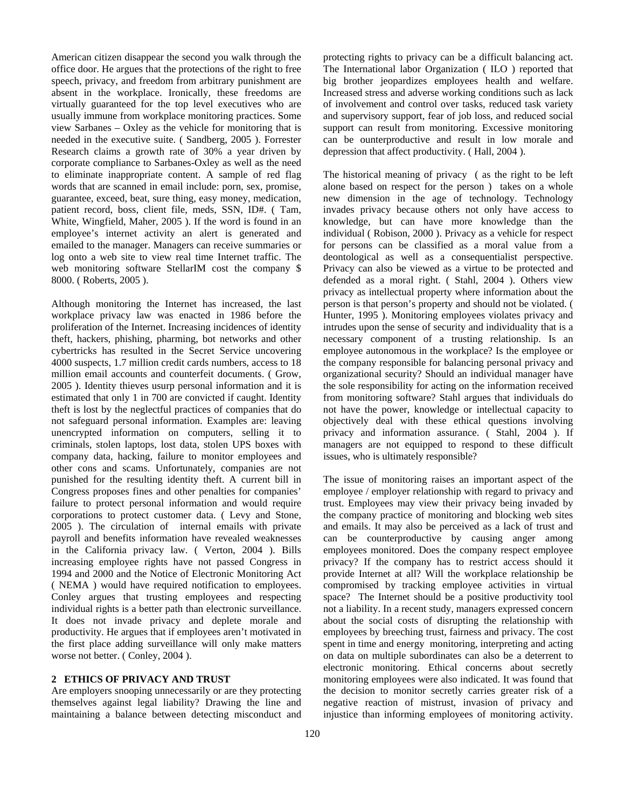American citizen disappear the second you walk through the office door. He argues that the protections of the right to free speech, privacy, and freedom from arbitrary punishment are absent in the workplace. Ironically, these freedoms are virtually guaranteed for the top level executives who are usually immune from workplace monitoring practices. Some view Sarbanes – Oxley as the vehicle for monitoring that is needed in the executive suite. ( Sandberg, 2005 ). Forrester Research claims a growth rate of 30% a year driven by corporate compliance to Sarbanes-Oxley as well as the need to eliminate inappropriate content. A sample of red flag words that are scanned in email include: porn, sex, promise, guarantee, exceed, beat, sure thing, easy money, medication, patient record, boss, client file, meds, SSN, ID#. ( Tam, White, Wingfield, Maher, 2005 ). If the word is found in an employee's internet activity an alert is generated and emailed to the manager. Managers can receive summaries or log onto a web site to view real time Internet traffic. The web monitoring software StellarIM cost the company \$ 8000. ( Roberts, 2005 ).

Although monitoring the Internet has increased, the last workplace privacy law was enacted in 1986 before the proliferation of the Internet. Increasing incidences of identity theft, hackers, phishing, pharming, bot networks and other cybertricks has resulted in the Secret Service uncovering 4000 suspects, 1.7 million credit cards numbers, access to 18 million email accounts and counterfeit documents. ( Grow, 2005 ). Identity thieves usurp personal information and it is estimated that only 1 in 700 are convicted if caught. Identity theft is lost by the neglectful practices of companies that do not safeguard personal information. Examples are: leaving unencrypted information on computers, selling it to criminals, stolen laptops, lost data, stolen UPS boxes with company data, hacking, failure to monitor employees and other cons and scams. Unfortunately, companies are not punished for the resulting identity theft. A current bill in Congress proposes fines and other penalties for companies' failure to protect personal information and would require corporations to protect customer data. ( Levy and Stone, 2005 ). The circulation of internal emails with private payroll and benefits information have revealed weaknesses in the California privacy law. ( Verton, 2004 ). Bills increasing employee rights have not passed Congress in 1994 and 2000 and the Notice of Electronic Monitoring Act ( NEMA ) would have required notification to employees. Conley argues that trusting employees and respecting individual rights is a better path than electronic surveillance. It does not invade privacy and deplete morale and productivity. He argues that if employees aren't motivated in the first place adding surveillance will only make matters worse not better. ( Conley, 2004 ).

#### **2 ETHICS OF PRIVACY AND TRUST**

Are employers snooping unnecessarily or are they protecting themselves against legal liability? Drawing the line and maintaining a balance between detecting misconduct and protecting rights to privacy can be a difficult balancing act. The International labor Organization ( ILO ) reported that big brother jeopardizes employees health and welfare. Increased stress and adverse working conditions such as lack of involvement and control over tasks, reduced task variety and supervisory support, fear of job loss, and reduced social support can result from monitoring. Excessive monitoring can be ounterproductive and result in low morale and depression that affect productivity. ( Hall, 2004 ).

The historical meaning of privacy ( as the right to be left alone based on respect for the person ) takes on a whole new dimension in the age of technology. Technology invades privacy because others not only have access to knowledge, but can have more knowledge than the individual ( Robison, 2000 ). Privacy as a vehicle for respect for persons can be classified as a moral value from a deontological as well as a consequentialist perspective. Privacy can also be viewed as a virtue to be protected and defended as a moral right. ( Stahl, 2004 ). Others view privacy as intellectual property where information about the person is that person's property and should not be violated. ( Hunter, 1995 ). Monitoring employees violates privacy and intrudes upon the sense of security and individuality that is a necessary component of a trusting relationship. Is an employee autonomous in the workplace? Is the employee or the company responsible for balancing personal privacy and organizational security? Should an individual manager have the sole responsibility for acting on the information received from monitoring software? Stahl argues that individuals do not have the power, knowledge or intellectual capacity to objectively deal with these ethical questions involving privacy and information assurance. ( Stahl, 2004 ). If managers are not equipped to respond to these difficult issues, who is ultimately responsible?

The issue of monitoring raises an important aspect of the employee / employer relationship with regard to privacy and trust. Employees may view their privacy being invaded by the company practice of monitoring and blocking web sites and emails. It may also be perceived as a lack of trust and can be counterproductive by causing anger among employees monitored. Does the company respect employee privacy? If the company has to restrict access should it provide Internet at all? Will the workplace relationship be compromised by tracking employee activities in virtual space? The Internet should be a positive productivity tool not a liability. In a recent study, managers expressed concern about the social costs of disrupting the relationship with employees by breeching trust, fairness and privacy. The cost spent in time and energy monitoring, interpreting and acting on data on multiple subordinates can also be a deterrent to electronic monitoring. Ethical concerns about secretly monitoring employees were also indicated. It was found that the decision to monitor secretly carries greater risk of a negative reaction of mistrust, invasion of privacy and injustice than informing employees of monitoring activity.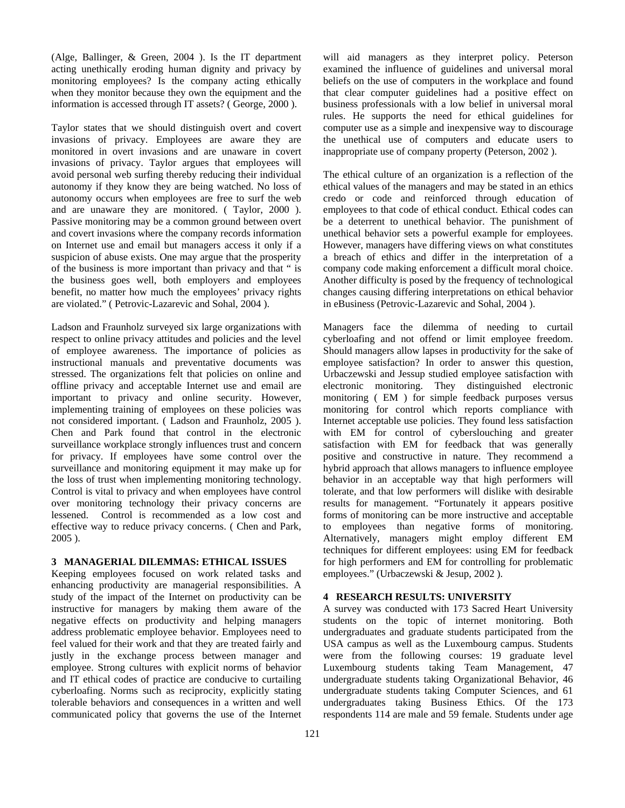(Alge, Ballinger, & Green, 2004 ). Is the IT department acting unethically eroding human dignity and privacy by monitoring employees? Is the company acting ethically when they monitor because they own the equipment and the information is accessed through IT assets? ( George, 2000 ).

Taylor states that we should distinguish overt and covert invasions of privacy. Employees are aware they are monitored in overt invasions and are unaware in covert invasions of privacy. Taylor argues that employees will avoid personal web surfing thereby reducing their individual autonomy if they know they are being watched. No loss of autonomy occurs when employees are free to surf the web and are unaware they are monitored. ( Taylor, 2000 ). Passive monitoring may be a common ground between overt and covert invasions where the company records information on Internet use and email but managers access it only if a suspicion of abuse exists. One may argue that the prosperity of the business is more important than privacy and that " is the business goes well, both employers and employees benefit, no matter how much the employees' privacy rights are violated." ( Petrovic-Lazarevic and Sohal, 2004 ).

Ladson and Fraunholz surveyed six large organizations with respect to online privacy attitudes and policies and the level of employee awareness. The importance of policies as instructional manuals and preventative documents was stressed. The organizations felt that policies on online and offline privacy and acceptable Internet use and email are important to privacy and online security. However, implementing training of employees on these policies was not considered important. ( Ladson and Fraunholz, 2005 ). Chen and Park found that control in the electronic surveillance workplace strongly influences trust and concern for privacy. If employees have some control over the surveillance and monitoring equipment it may make up for the loss of trust when implementing monitoring technology. Control is vital to privacy and when employees have control over monitoring technology their privacy concerns are lessened. Control is recommended as a low cost and effective way to reduce privacy concerns. ( Chen and Park, 2005 ).

### **3 MANAGERIAL DILEMMAS: ETHICAL ISSUES**

Keeping employees focused on work related tasks and enhancing productivity are managerial responsibilities. A study of the impact of the Internet on productivity can be instructive for managers by making them aware of the negative effects on productivity and helping managers address problematic employee behavior. Employees need to feel valued for their work and that they are treated fairly and justly in the exchange process between manager and employee. Strong cultures with explicit norms of behavior and IT ethical codes of practice are conducive to curtailing cyberloafing. Norms such as reciprocity, explicitly stating tolerable behaviors and consequences in a written and well communicated policy that governs the use of the Internet will aid managers as they interpret policy. Peterson examined the influence of guidelines and universal moral beliefs on the use of computers in the workplace and found that clear computer guidelines had a positive effect on business professionals with a low belief in universal moral rules. He supports the need for ethical guidelines for computer use as a simple and inexpensive way to discourage the unethical use of computers and educate users to inappropriate use of company property (Peterson, 2002 ).

The ethical culture of an organization is a reflection of the ethical values of the managers and may be stated in an ethics credo or code and reinforced through education of employees to that code of ethical conduct. Ethical codes can be a deterrent to unethical behavior. The punishment of unethical behavior sets a powerful example for employees. However, managers have differing views on what constitutes a breach of ethics and differ in the interpretation of a company code making enforcement a difficult moral choice. Another difficulty is posed by the frequency of technological changes causing differing interpretations on ethical behavior in eBusiness (Petrovic-Lazarevic and Sohal, 2004 ).

Managers face the dilemma of needing to curtail cyberloafing and not offend or limit employee freedom. Should managers allow lapses in productivity for the sake of employee satisfaction? In order to answer this question, Urbaczewski and Jessup studied employee satisfaction with electronic monitoring. They distinguished electronic monitoring ( EM ) for simple feedback purposes versus monitoring for control which reports compliance with Internet acceptable use policies. They found less satisfaction with EM for control of cyberslouching and greater satisfaction with EM for feedback that was generally positive and constructive in nature. They recommend a hybrid approach that allows managers to influence employee behavior in an acceptable way that high performers will tolerate, and that low performers will dislike with desirable results for management. "Fortunately it appears positive forms of monitoring can be more instructive and acceptable to employees than negative forms of monitoring. Alternatively, managers might employ different EM techniques for different employees: using EM for feedback for high performers and EM for controlling for problematic employees." (Urbaczewski & Jesup, 2002 ).

# **4 RESEARCH RESULTS: UNIVERSITY**

A survey was conducted with 173 Sacred Heart University students on the topic of internet monitoring. Both undergraduates and graduate students participated from the USA campus as well as the Luxembourg campus. Students were from the following courses: 19 graduate level Luxembourg students taking Team Management, 47 undergraduate students taking Organizational Behavior, 46 undergraduate students taking Computer Sciences, and 61 undergraduates taking Business Ethics. Of the 173 respondents 114 are male and 59 female. Students under age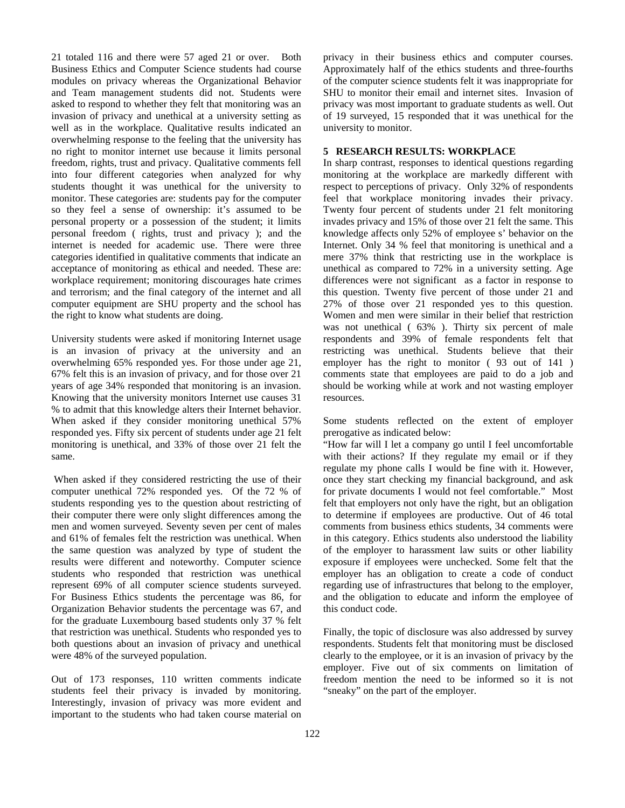21 totaled 116 and there were 57 aged 21 or over. Both Business Ethics and Computer Science students had course modules on privacy whereas the Organizational Behavior and Team management students did not. Students were asked to respond to whether they felt that monitoring was an invasion of privacy and unethical at a university setting as well as in the workplace. Qualitative results indicated an overwhelming response to the feeling that the university has no right to monitor internet use because it limits personal freedom, rights, trust and privacy. Qualitative comments fell into four different categories when analyzed for why students thought it was unethical for the university to monitor. These categories are: students pay for the computer so they feel a sense of ownership: it's assumed to be personal property or a possession of the student; it limits personal freedom ( rights, trust and privacy ); and the internet is needed for academic use. There were three categories identified in qualitative comments that indicate an acceptance of monitoring as ethical and needed. These are: workplace requirement; monitoring discourages hate crimes and terrorism; and the final category of the internet and all computer equipment are SHU property and the school has the right to know what students are doing.

University students were asked if monitoring Internet usage is an invasion of privacy at the university and an overwhelming 65% responded yes. For those under age 21, 67% felt this is an invasion of privacy, and for those over 21 years of age 34% responded that monitoring is an invasion. Knowing that the university monitors Internet use causes 31 % to admit that this knowledge alters their Internet behavior. When asked if they consider monitoring unethical 57% responded yes. Fifty six percent of students under age 21 felt monitoring is unethical, and 33% of those over 21 felt the same.

 When asked if they considered restricting the use of their computer unethical 72% responded yes. Of the 72 % of students responding yes to the question about restricting of their computer there were only slight differences among the men and women surveyed. Seventy seven per cent of males and 61% of females felt the restriction was unethical. When the same question was analyzed by type of student the results were different and noteworthy. Computer science students who responded that restriction was unethical represent 69% of all computer science students surveyed. For Business Ethics students the percentage was 86, for Organization Behavior students the percentage was 67, and for the graduate Luxembourg based students only 37 % felt that restriction was unethical. Students who responded yes to both questions about an invasion of privacy and unethical were 48% of the surveyed population.

Out of 173 responses, 110 written comments indicate students feel their privacy is invaded by monitoring. Interestingly, invasion of privacy was more evident and important to the students who had taken course material on privacy in their business ethics and computer courses. Approximately half of the ethics students and three-fourths of the computer science students felt it was inappropriate for SHU to monitor their email and internet sites. Invasion of privacy was most important to graduate students as well. Out of 19 surveyed, 15 responded that it was unethical for the university to monitor.

## **5 RESEARCH RESULTS: WORKPLACE**

In sharp contrast, responses to identical questions regarding monitoring at the workplace are markedly different with respect to perceptions of privacy. Only 32% of respondents feel that workplace monitoring invades their privacy. Twenty four percent of students under 21 felt monitoring invades privacy and 15% of those over 21 felt the same. This knowledge affects only 52% of employee s' behavior on the Internet. Only 34 % feel that monitoring is unethical and a mere 37% think that restricting use in the workplace is unethical as compared to 72% in a university setting. Age differences were not significant as a factor in response to this question. Twenty five percent of those under 21 and 27% of those over 21 responded yes to this question. Women and men were similar in their belief that restriction was not unethical ( 63% ). Thirty six percent of male respondents and 39% of female respondents felt that restricting was unethical. Students believe that their employer has the right to monitor ( 93 out of 141 ) comments state that employees are paid to do a job and should be working while at work and not wasting employer resources.

Some students reflected on the extent of employer prerogative as indicated below:

"How far will I let a company go until I feel uncomfortable with their actions? If they regulate my email or if they regulate my phone calls I would be fine with it. However, once they start checking my financial background, and ask for private documents I would not feel comfortable." Most felt that employers not only have the right, but an obligation to determine if employees are productive. Out of 46 total comments from business ethics students, 34 comments were in this category. Ethics students also understood the liability of the employer to harassment law suits or other liability exposure if employees were unchecked. Some felt that the employer has an obligation to create a code of conduct regarding use of infrastructures that belong to the employer, and the obligation to educate and inform the employee of this conduct code.

Finally, the topic of disclosure was also addressed by survey respondents. Students felt that monitoring must be disclosed clearly to the employee, or it is an invasion of privacy by the employer. Five out of six comments on limitation of freedom mention the need to be informed so it is not "sneaky" on the part of the employer.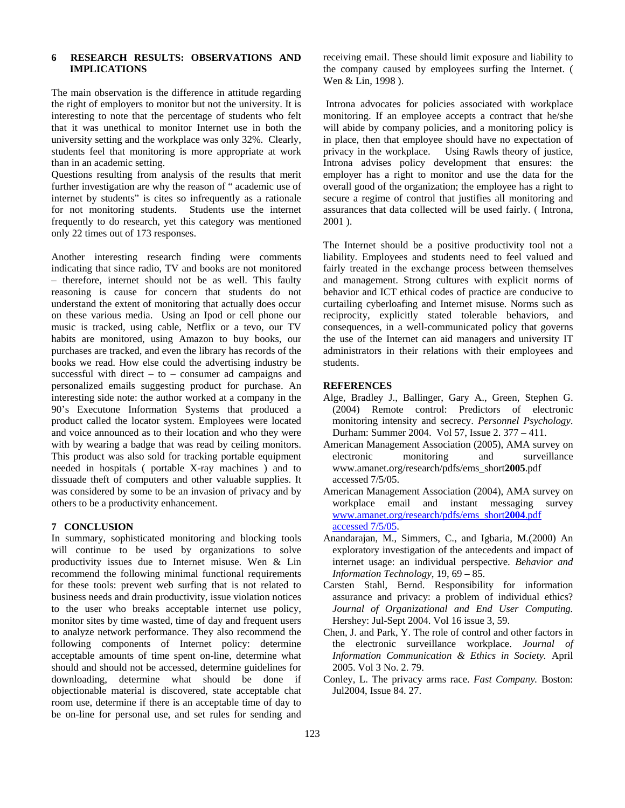# **6 RESEARCH RESULTS: OBSERVATIONS AND IMPLICATIONS**

The main observation is the difference in attitude regarding the right of employers to monitor but not the university. It is interesting to note that the percentage of students who felt that it was unethical to monitor Internet use in both the university setting and the workplace was only 32%. Clearly, students feel that monitoring is more appropriate at work than in an academic setting.

Questions resulting from analysis of the results that merit further investigation are why the reason of " academic use of internet by students" is cites so infrequently as a rationale for not monitoring students. Students use the internet frequently to do research, yet this category was mentioned only 22 times out of 173 responses.

Another interesting research finding were comments indicating that since radio, TV and books are not monitored – therefore, internet should not be as well. This faulty reasoning is cause for concern that students do not understand the extent of monitoring that actually does occur on these various media. Using an Ipod or cell phone our music is tracked, using cable, Netflix or a tevo, our TV habits are monitored, using Amazon to buy books, our purchases are tracked, and even the library has records of the books we read. How else could the advertising industry be successful with direct – to – consumer ad campaigns and personalized emails suggesting product for purchase. An interesting side note: the author worked at a company in the 90's Executone Information Systems that produced a product called the locator system. Employees were located and voice announced as to their location and who they were with by wearing a badge that was read by ceiling monitors. This product was also sold for tracking portable equipment needed in hospitals ( portable X-ray machines ) and to dissuade theft of computers and other valuable supplies. It was considered by some to be an invasion of privacy and by others to be a productivity enhancement.

### **7 CONCLUSION**

In summary, sophisticated monitoring and blocking tools will continue to be used by organizations to solve productivity issues due to Internet misuse. Wen & Lin recommend the following minimal functional requirements for these tools: prevent web surfing that is not related to business needs and drain productivity, issue violation notices to the user who breaks acceptable internet use policy, monitor sites by time wasted, time of day and frequent users to analyze network performance. They also recommend the following components of Internet policy: determine acceptable amounts of time spent on-line, determine what should and should not be accessed, determine guidelines for downloading, determine what should be done if objectionable material is discovered, state acceptable chat room use, determine if there is an acceptable time of day to be on-line for personal use, and set rules for sending and

receiving email. These should limit exposure and liability to the company caused by employees surfing the Internet. ( Wen & Lin, 1998 ).

 Introna advocates for policies associated with workplace monitoring. If an employee accepts a contract that he/she will abide by company policies, and a monitoring policy is in place, then that employee should have no expectation of privacy in the workplace. Using Rawls theory of justice, Introna advises policy development that ensures: the employer has a right to monitor and use the data for the overall good of the organization; the employee has a right to secure a regime of control that justifies all monitoring and assurances that data collected will be used fairly. ( Introna, 2001 ).

The Internet should be a positive productivity tool not a liability. Employees and students need to feel valued and fairly treated in the exchange process between themselves and management. Strong cultures with explicit norms of behavior and ICT ethical codes of practice are conducive to curtailing cyberloafing and Internet misuse. Norms such as reciprocity, explicitly stated tolerable behaviors, and consequences, in a well-communicated policy that governs the use of the Internet can aid managers and university IT administrators in their relations with their employees and students.

#### **REFERENCES**

- Alge, Bradley J., Ballinger, Gary A., Green, Stephen G. (2004) Remote control: Predictors of electronic monitoring intensity and secrecy. *Personnel Psychology*. Durham: Summer 2004. Vol 57, Issue 2. 377 – 411.
- American Management Association (2005), AMA survey on electronic monitoring and surveillance www.amanet.org/research/pdfs/ems\_short**2005**.pdf accessed 7/5/05.
- American Management Association (2004), AMA survey on workplace email and instant messaging survey www.amanet.org/research/pdfs/ems\_short**2004**.pdf accessed 7/5/05.
- Anandarajan, M., Simmers, C., and Igbaria, M.(2000) An exploratory investigation of the antecedents and impact of internet usage: an individual perspective. *Behavior and Information Technology*, 19, 69 – 85.
- Carsten Stahl, Bernd. Responsibility for information assurance and privacy: a problem of individual ethics? *Journal of Organizational and End User Computing.* Hershey: Jul-Sept 2004. Vol 16 issue 3, 59.
- Chen, J. and Park, Y. The role of control and other factors in the electronic surveillance workplace. *Journal of Information Communication & Ethics in Society.* April 2005. Vol 3 No. 2. 79.
- Conley, L. The privacy arms race. *Fast Company.* Boston: Jul2004, Issue 84. 27.